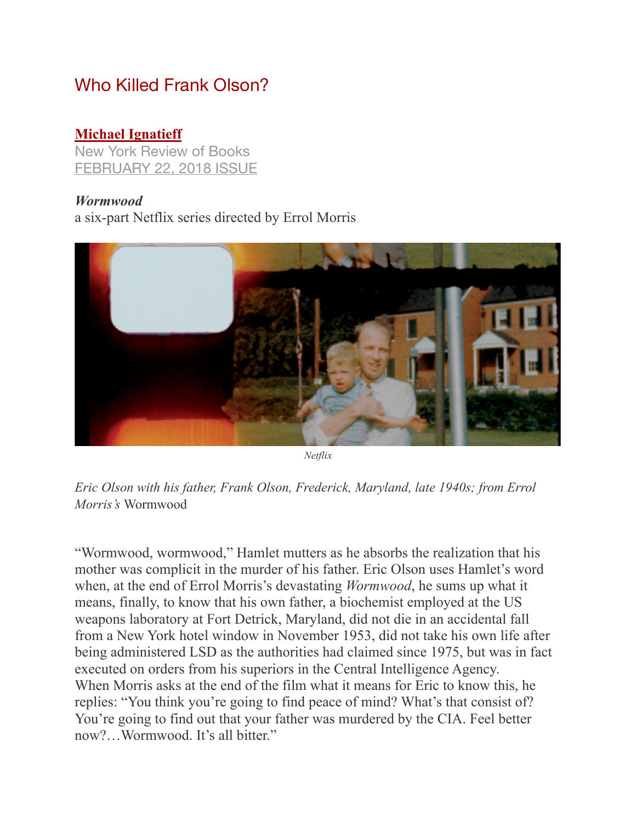## Who Killed Frank Olson?

## **[Michael Ignatieff](http://www.nybooks.com/contributors/michael-ignatieff/)**

New York Review of Books [FEBRUARY 22, 2018 ISSUE](http://www.nybooks.com/issues/2018/02/22/)

## *Wormwood*

a six-part Netflix series directed by Errol Morris



*Netflix* 

*Eric Olson with his father, Frank Olson, Frederick, Maryland, late 1940s; from Errol Morris's* Wormwood

"Wormwood, wormwood," Hamlet mutters as he absorbs the realization that his mother was complicit in the murder of his father. Eric Olson uses Hamlet's word when, at the end of Errol Morris's devastating *Wormwood*, he sums up what it means, finally, to know that his own father, a biochemist employed at the US weapons laboratory at Fort Detrick, Maryland, did not die in an accidental fall from a New York hotel window in November 1953, did not take his own life after being administered LSD as the authorities had claimed since 1975, but was in fact executed on orders from his superiors in the Central Intelligence Agency. When Morris asks at the end of the film what it means for Eric to know this, he replies: "You think you're going to find peace of mind? What's that consist of? You're going to find out that your father was murdered by the CIA. Feel better now?…Wormwood. It's all bitter."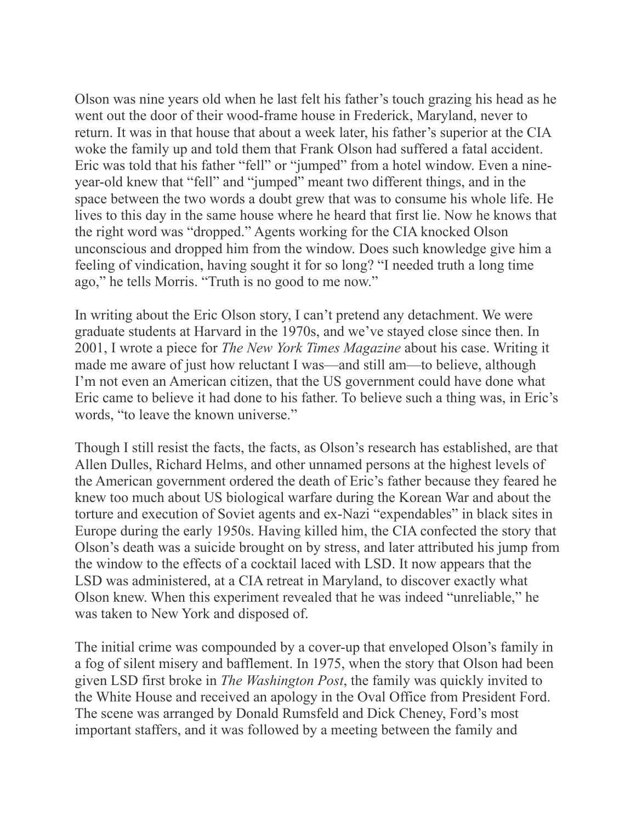Olson was nine years old when he last felt his father's touch grazing his head as he went out the door of their wood-frame house in Frederick, Maryland, never to return. It was in that house that about a week later, his father's superior at the CIA woke the family up and told them that Frank Olson had suffered a fatal accident. Eric was told that his father "fell" or "jumped" from a hotel window. Even a nineyear-old knew that "fell" and "jumped" meant two different things, and in the space between the two words a doubt grew that was to consume his whole life. He lives to this day in the same house where he heard that first lie. Now he knows that the right word was "dropped." Agents working for the CIA knocked Olson unconscious and dropped him from the window. Does such knowledge give him a feeling of vindication, having sought it for so long? "I needed truth a long time ago," he tells Morris. "Truth is no good to me now."

In writing about the Eric Olson story, I can't pretend any detachment. We were graduate students at Harvard in the 1970s, and we've stayed close since then. In 2001, I wrote a piece for *The New York Times Magazine* about his case. Writing it made me aware of just how reluctant I was—and still am—to believe, although I'm not even an American citizen, that the US government could have done what Eric came to believe it had done to his father. To believe such a thing was, in Eric's words, "to leave the known universe."

Though I still resist the facts, the facts, as Olson's research has established, are that Allen Dulles, Richard Helms, and other unnamed persons at the highest levels of the American government ordered the death of Eric's father because they feared he knew too much about US biological warfare during the Korean War and about the torture and execution of Soviet agents and ex-Nazi "expendables" in black sites in Europe during the early 1950s. Having killed him, the CIA confected the story that Olson's death was a suicide brought on by stress, and later attributed his jump from the window to the effects of a cocktail laced with LSD. It now appears that the LSD was administered, at a CIA retreat in Maryland, to discover exactly what Olson knew. When this experiment revealed that he was indeed "unreliable," he was taken to New York and disposed of.

The initial crime was compounded by a cover-up that enveloped Olson's family in a fog of silent misery and bafflement. In 1975, when the story that Olson had been given LSD first broke in *The Washington Post*, the family was quickly invited to the White House and received an apology in the Oval Office from President Ford. The scene was arranged by Donald Rumsfeld and Dick Cheney, Ford's most important staffers, and it was followed by a meeting between the family and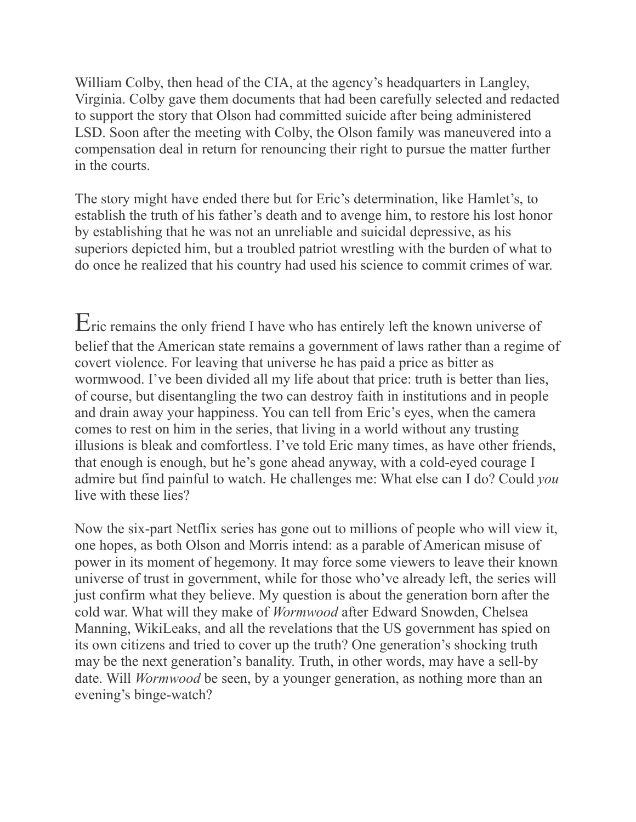William Colby, then head of the CIA, at the agency's headquarters in Langley, Virginia. Colby gave them documents that had been carefully selected and redacted to support the story that Olson had committed suicide after being administered LSD. Soon after the meeting with Colby, the Olson family was maneuvered into a compensation deal in return for renouncing their right to pursue the matter further in the courts.

The story might have ended there but for Eric's determination, like Hamlet's, to establish the truth of his father's death and to avenge him, to restore his lost honor by establishing that he was not an unreliable and suicidal depressive, as his superiors depicted him, but a troubled patriot wrestling with the burden of what to do once he realized that his country had used his science to commit crimes of war.

Eric remains the only friend I have who has entirely left the known universe of belief that the American state remains a government of laws rather than a regime of covert violence. For leaving that universe he has paid a price as bitter as wormwood. I've been divided all my life about that price: truth is better than lies, of course, but disentangling the two can destroy faith in institutions and in people and drain away your happiness. You can tell from Eric's eyes, when the camera comes to rest on him in the series, that living in a world without any trusting illusions is bleak and comfortless. I've told Eric many times, as have other friends, that enough is enough, but he's gone ahead anyway, with a cold-eyed courage I admire but find painful to watch. He challenges me: What else can I do? Could *you* live with these lies?

Now the six-part Netflix series has gone out to millions of people who will view it, one hopes, as both Olson and Morris intend: as a parable of American misuse of power in its moment of hegemony. It may force some viewers to leave their known universe of trust in government, while for those who've already left, the series will just confirm what they believe. My question is about the generation born after the cold war. What will they make of *Wormwood* after Edward Snowden, Chelsea Manning, WikiLeaks, and all the revelations that the US government has spied on its own citizens and tried to cover up the truth? One generation's shocking truth may be the next generation's banality. Truth, in other words, may have a sell-by date. Will *Wormwood* be seen, by a younger generation, as nothing more than an evening's binge-watch?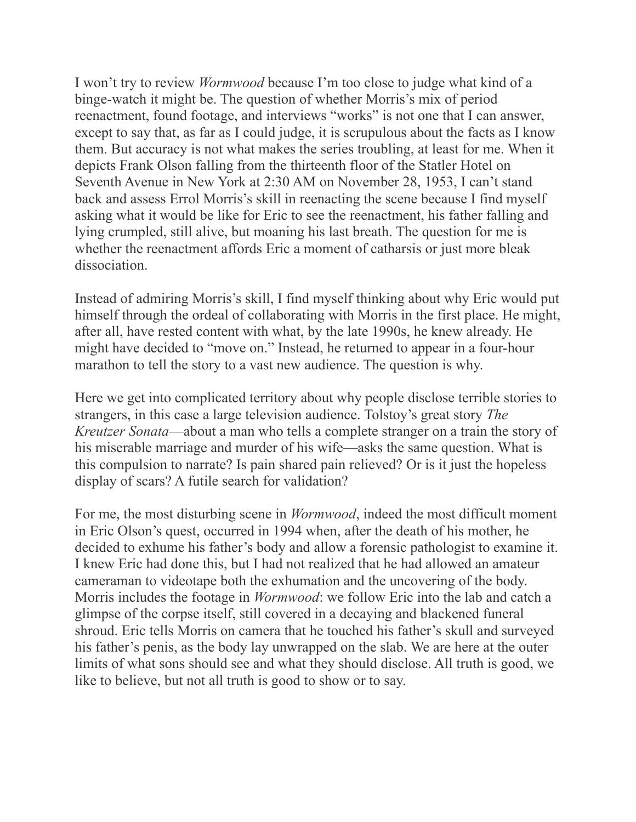I won't try to review *Wormwood* because I'm too close to judge what kind of a binge-watch it might be. The question of whether Morris's mix of period reenactment, found footage, and interviews "works" is not one that I can answer, except to say that, as far as I could judge, it is scrupulous about the facts as I know them. But accuracy is not what makes the series troubling, at least for me. When it depicts Frank Olson falling from the thirteenth floor of the Statler Hotel on Seventh Avenue in New York at 2:30 AM on November 28, 1953, I can't stand back and assess Errol Morris's skill in reenacting the scene because I find myself asking what it would be like for Eric to see the reenactment, his father falling and lying crumpled, still alive, but moaning his last breath. The question for me is whether the reenactment affords Eric a moment of catharsis or just more bleak dissociation.

Instead of admiring Morris's skill, I find myself thinking about why Eric would put himself through the ordeal of collaborating with Morris in the first place. He might, after all, have rested content with what, by the late 1990s, he knew already. He might have decided to "move on." Instead, he returned to appear in a four-hour marathon to tell the story to a vast new audience. The question is why.

Here we get into complicated territory about why people disclose terrible stories to strangers, in this case a large television audience. Tolstoy's great story *The Kreutzer Sonata*—about a man who tells a complete stranger on a train the story of his miserable marriage and murder of his wife—asks the same question. What is this compulsion to narrate? Is pain shared pain relieved? Or is it just the hopeless display of scars? A futile search for validation?

For me, the most disturbing scene in *Wormwood*, indeed the most difficult moment in Eric Olson's quest, occurred in 1994 when, after the death of his mother, he decided to exhume his father's body and allow a forensic pathologist to examine it. I knew Eric had done this, but I had not realized that he had allowed an amateur cameraman to videotape both the exhumation and the uncovering of the body. Morris includes the footage in *Wormwood*: we follow Eric into the lab and catch a glimpse of the corpse itself, still covered in a decaying and blackened funeral shroud. Eric tells Morris on camera that he touched his father's skull and surveyed his father's penis, as the body lay unwrapped on the slab. We are here at the outer limits of what sons should see and what they should disclose. All truth is good, we like to believe, but not all truth is good to show or to say.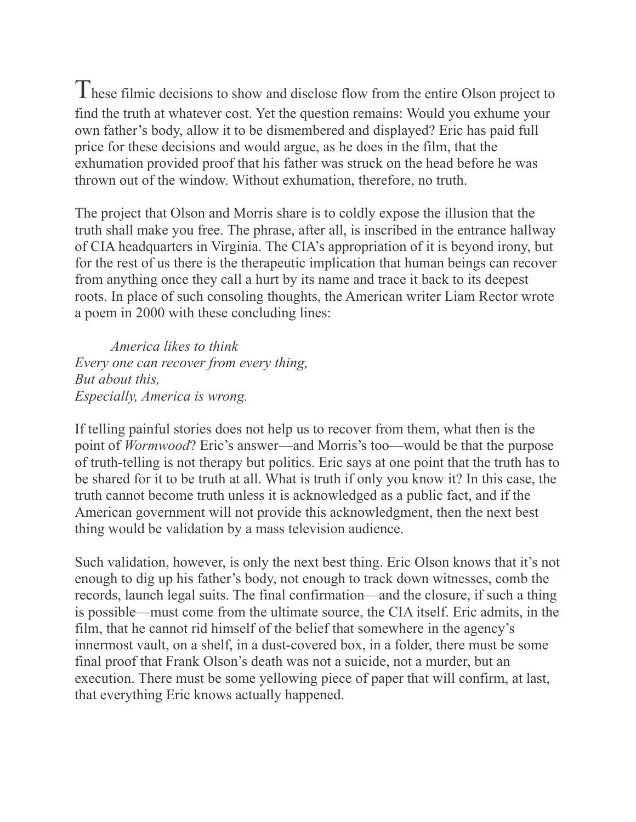These filmic decisions to show and disclose flow from the entire Olson project to find the truth at whatever cost. Yet the question remains: Would you exhume your own father's body, allow it to be dismembered and displayed? Eric has paid full price for these decisions and would argue, as he does in the film, that the exhumation provided proof that his father was struck on the head before he was thrown out of the window. Without exhumation, therefore, no truth.

The project that Olson and Morris share is to coldly expose the illusion that the truth shall make you free. The phrase, after all, is inscribed in the entrance hallway of CIA headquarters in Virginia. The CIA's appropriation of it is beyond irony, but for the rest of us there is the therapeutic implication that human beings can recover from anything once they call a hurt by its name and trace it back to its deepest roots. In place of such consoling thoughts, the American writer Liam Rector wrote a poem in 2000 with these concluding lines:

 *America likes to think Every one can recover from every thing, But about this, Especially, America is wrong.*

If telling painful stories does not help us to recover from them, what then is the point of *Wormwood*? Eric's answer—and Morris's too—would be that the purpose of truth-telling is not therapy but politics. Eric says at one point that the truth has to be shared for it to be truth at all. What is truth if only you know it? In this case, the truth cannot become truth unless it is acknowledged as a public fact, and if the American government will not provide this acknowledgment, then the next best thing would be validation by a mass television audience.

Such validation, however, is only the next best thing. Eric Olson knows that it's not enough to dig up his father's body, not enough to track down witnesses, comb the records, launch legal suits. The final confirmation—and the closure, if such a thing is possible—must come from the ultimate source, the CIA itself. Eric admits, in the film, that he cannot rid himself of the belief that somewhere in the agency's innermost vault, on a shelf, in a dust-covered box, in a folder, there must be some final proof that Frank Olson's death was not a suicide, not a murder, but an execution. There must be some yellowing piece of paper that will confirm, at last, that everything Eric knows actually happened.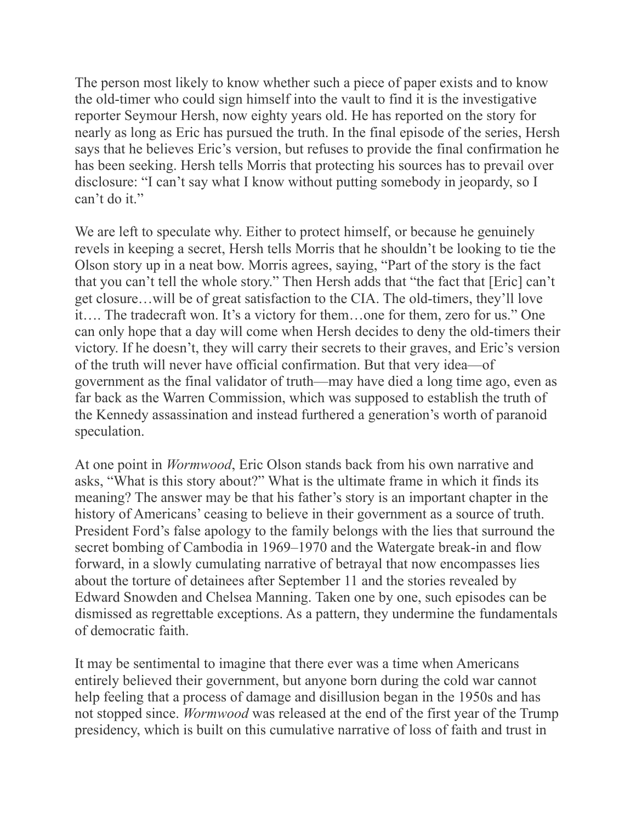The person most likely to know whether such a piece of paper exists and to know the old-timer who could sign himself into the vault to find it is the investigative reporter Seymour Hersh, now eighty years old. He has reported on the story for nearly as long as Eric has pursued the truth. In the final episode of the series, Hersh says that he believes Eric's version, but refuses to provide the final confirmation he has been seeking. Hersh tells Morris that protecting his sources has to prevail over disclosure: "I can't say what I know without putting somebody in jeopardy, so I can't do it."

We are left to speculate why. Either to protect himself, or because he genuinely revels in keeping a secret, Hersh tells Morris that he shouldn't be looking to tie the Olson story up in a neat bow. Morris agrees, saying, "Part of the story is the fact that you can't tell the whole story." Then Hersh adds that "the fact that [Eric] can't get closure…will be of great satisfaction to the CIA. The old-timers, they'll love it…. The tradecraft won. It's a victory for them…one for them, zero for us." One can only hope that a day will come when Hersh decides to deny the old-timers their victory. If he doesn't, they will carry their secrets to their graves, and Eric's version of the truth will never have official confirmation. But that very idea—of government as the final validator of truth—may have died a long time ago, even as far back as the Warren Commission, which was supposed to establish the truth of the Kennedy assassination and instead furthered a generation's worth of paranoid speculation.

At one point in *Wormwood*, Eric Olson stands back from his own narrative and asks, "What is this story about?" What is the ultimate frame in which it finds its meaning? The answer may be that his father's story is an important chapter in the history of Americans' ceasing to believe in their government as a source of truth. President Ford's false apology to the family belongs with the lies that surround the secret bombing of Cambodia in 1969–1970 and the Watergate break-in and flow forward, in a slowly cumulating narrative of betrayal that now encompasses lies about the torture of detainees after September 11 and the stories revealed by Edward Snowden and Chelsea Manning. Taken one by one, such episodes can be dismissed as regrettable exceptions. As a pattern, they undermine the fundamentals of democratic faith.

It may be sentimental to imagine that there ever was a time when Americans entirely believed their government, but anyone born during the cold war cannot help feeling that a process of damage and disillusion began in the 1950s and has not stopped since. *Wormwood* was released at the end of the first year of the Trump presidency, which is built on this cumulative narrative of loss of faith and trust in